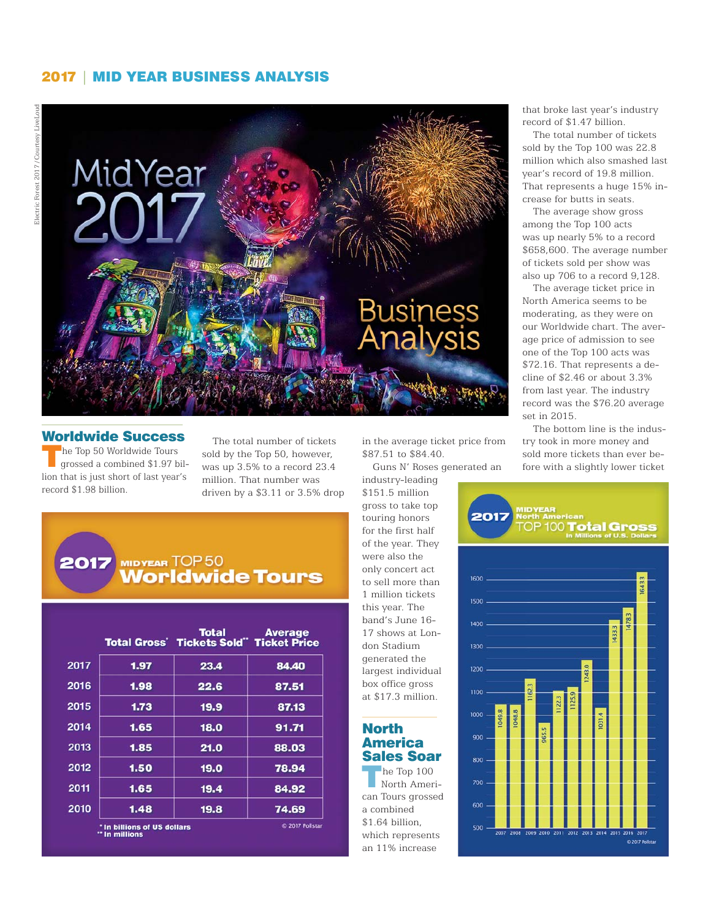### 2017 | MID YEAR BUSINESS ANALYSIS



## Worldwide Success

The Top 50 Worldwide Tours<br>grossed a combined \$1.97 billion that is just short of last year's record \$1.98 billion.

The total number of tickets sold by the Top 50, however, was up 3.5% to a record 23.4 million. That number was driven by a \$3.11 or 3.5% drop

#### 2017 **MIDYEAR TOP 50 Worldwide Tours**

|      |      | <b>Total Gross' Tickets Sold" Ticket Price</b> |
|------|------|------------------------------------------------|
| 1.97 | 23.4 | 84.40                                          |
| 1.98 | 22.6 | 87.51                                          |
| 1.73 | 19.9 | 87.13                                          |
| 1.65 | 18.0 | 91.71                                          |
| 1.85 | 21.0 | 88.03                                          |
| 1.50 | 19.0 | 78.94                                          |
| 1.65 | 19.4 | 84.92                                          |
| 1.48 | 19.8 | 74.69                                          |
|      |      |                                                |

in the average ticket price from \$87.51 to \$84.40.

Guns N' Roses generated an

industry-leading \$151.5 million gross to take top touring honors for the first half of the year. They were also the only concert act to sell more than 1 million tickets this year. The band's June 16- 17 shows at London Stadium generated the largest individual box office gross at \$17.3 million.

# North America Sales Soar

he Top 100 North American Tours grossed a combined \$1.64 billion, which represents an 11% increase

that broke last year's industry record of \$1.47 billion.

The total number of tickets sold by the Top 100 was 22.8 million which also smashed last year's record of 19.8 million. That represents a huge 15% increase for butts in seats.

The average show gross among the Top 100 acts was up nearly 5% to a record \$658,600. The average number of tickets sold per show was also up 706 to a record 9,128.

The average ticket price in North America seems to be moderating, as they were on our Worldwide chart. The average price of admission to see one of the Top 100 acts was \$72.16. That represents a decline of \$2.46 or about 3.3% from last year. The industry record was the \$76.20 average set in 2015.

The bottom line is the industry took in more money and sold more tickets than ever before with a slightly lower ticket